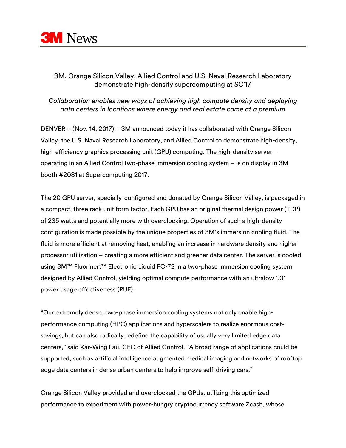

## 3M, Orange Silicon Valley, Allied Control and U.S. Naval Research Laboratory demonstrate high-density supercomputing at SC'17

## *Collaboration enables new ways of achieving high compute density and deploying data centers in locations where energy and real estate come at a premium*

DENVER – (Nov. 14, 2017) – 3M announced today it has collaborated with Orange Silicon Valley, the U.S. Naval Research Laboratory, and Allied Control to demonstrate high-density, high-efficiency graphics processing unit (GPU) computing. The high-density server – operating in an Allied Control two-phase immersion cooling system – is on display in 3M booth #2081 at Supercomputing 2017.

The 20 GPU server, specially-configured and donated by Orange Silicon Valley, is packaged in a compact, three rack unit form factor. Each GPU has an original thermal design power (TDP) of 235 watts and potentially more with overclocking. Operation of such a high-density configuration is made possible by the unique properties of 3M's immersion cooling fluid. The fluid is more efficient at removing heat, enabling an increase in hardware density and higher processor utilization – creating a more efficient and greener data center. The server is cooled using 3M™ Fluorinert™ Electronic Liquid FC-72 in a two-phase immersion cooling system designed by Allied Control, yielding optimal compute performance with an ultralow 1.01 power usage effectiveness (PUE).

"Our extremely dense, two-phase immersion cooling systems not only enable highperformance computing (HPC) applications and hyperscalers to realize enormous costsavings, but can also radically redefine the capability of usually very limited edge data centers," said Kar-Wing Lau, CEO of Allied Control. "A broad range of applications could be supported, such as artificial intelligence augmented medical imaging and networks of rooftop edge data centers in dense urban centers to help improve self-driving cars."

Orange Silicon Valley provided and overclocked the GPUs, utilizing this optimized performance to experiment with power-hungry cryptocurrency software Zcash, whose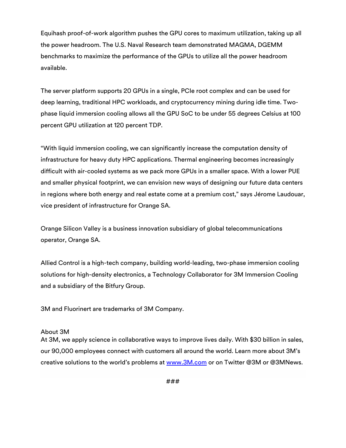Equihash proof-of-work algorithm pushes the GPU cores to maximum utilization, taking up all the power headroom. The U.S. Naval Research team demonstrated MAGMA, DGEMM benchmarks to maximize the performance of the GPUs to utilize all the power headroom available.

The server platform supports 20 GPUs in a single, PCIe root complex and can be used for deep learning, traditional HPC workloads, and cryptocurrency mining during idle time. Twophase liquid immersion cooling allows all the GPU SoC to be under 55 degrees Celsius at 100 percent GPU utilization at 120 percent TDP.

"With liquid immersion cooling, we can significantly increase the computation density of infrastructure for heavy duty HPC applications. Thermal engineering becomes increasingly difficult with air-cooled systems as we pack more GPUs in a smaller space. With a lower PUE and smaller physical footprint, we can envision new ways of designing our future data centers in regions where both energy and real estate come at a premium cost," says Jérome Laudouar, vice president of infrastructure for Orange SA.

Orange Silicon Valley is a business innovation subsidiary of global telecommunications operator, Orange SA.

Allied Control is a high-tech company, building world-leading, two-phase immersion cooling solutions for high-density electronics, a Technology Collaborator for 3M Immersion Cooling and a subsidiary of the Bitfury Group.

3M and Fluorinert are trademarks of 3M Company.

## About 3M

At 3M, we apply science in collaborative ways to improve lives daily. With \$30 billion in sales, our 90,000 employees connect with customers all around the world. Learn more about 3M's creative solutions to the world's problems at [www.3M.com](http://www.3m.com/) or on Twitter @3M or @3MNews.